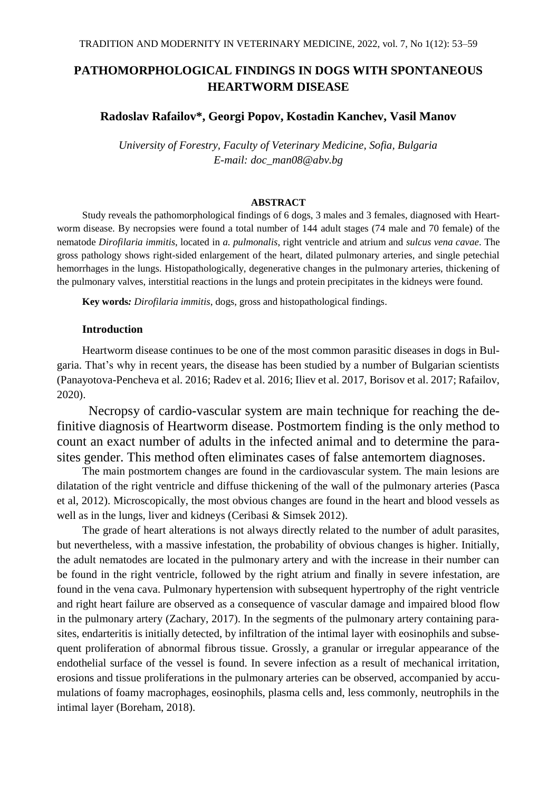# **PATHOMORPHOLOGICAL FINDINGS IN DOGS WITH SPONTANEOUS HEARTWORM DISEASE**

### **Radoslav Rafailov\*, Georgi Popov, Kostadin Kanchev, Vasil Manov**

*University of Forestry, Faculty of Veterinary Medicine, Sofia, Bulgaria E-mail: doc\_man08@abv.bg*

#### **ABSTRACT**

Study reveals the pathomorphological findings of 6 dogs, 3 males and 3 females, diagnosed with Heartworm disease. By necropsies were found a total number of 144 adult stages (74 male and 70 female) of the nematode *Dirofilaria immitis*, located in *a. pulmonalis*, right ventricle and atrium and *sulcus vena cavae*. The gross pathology shows right-sided enlargement of the heart, dilated pulmonary arteries, and single petechial hemorrhages in the lungs. Histopathologically, degenerative changes in the pulmonary arteries, thickening of the pulmonary valves, interstitial reactions in the lungs and protein precipitates in the kidneys were found.

**Key words***: Dirofilaria immitis*, dogs, gross and histopathological findings.

## **Introduction**

Heartworm disease continues to be one of the most common parasitic diseases in dogs in Bulgaria. That's why in recent years, the disease has been studied by a number of Bulgarian scientists (Panayotova-Pencheva et al. 2016; Radev et al. 2016; Iliev et al. 2017, Borisov et al. 2017; Rafailov, 2020).

Necropsy of cardio-vascular system are main technique for reaching the definitive diagnosis of Heartworm disease. Postmortem finding is the only method to count an exact number of adults in the infected animal and to determine the parasites gender. This method often eliminates cases of false antemortem diagnoses.

The main postmortem changes are found in the cardiovascular system. The main lesions are dilatation of the right ventricle and diffuse thickening of the wall of the pulmonary arteries (Pasca et al, 2012). Microscopically, the most obvious changes are found in the heart and blood vessels as well as in the lungs, liver and kidneys (Ceribasi & Simsek 2012).

The grade of heart alterations is not always directly related to the number of adult parasites, but nevertheless, with a massive infestation, the probability of obvious changes is higher. Initially, the adult nematodes are located in the pulmonary artery and with the increase in their number can be found in the right ventricle, followed by the right atrium and finally in severe infestation, are found in the vena cava. Pulmonary hypertension with subsequent hypertrophy of the right ventricle and right heart failure are observed as a consequence of vascular damage and impaired blood flow in the pulmonary artery (Zachary, 2017). In the segments of the pulmonary artery containing parasites, endarteritis is initially detected, by infiltration of the intimal layer with eosinophils and subsequent proliferation of abnormal fibrous tissue. Grossly, a granular or irregular appearance of the endothelial surface of the vessel is found. In severe infection as a result of mechanical irritation, erosions and tissue proliferations in the pulmonary arteries can be observed, accompanied by accumulations of foamy macrophages, eosinophils, plasma cells and, less commonly, neutrophils in the intimal layer (Boreham, 2018).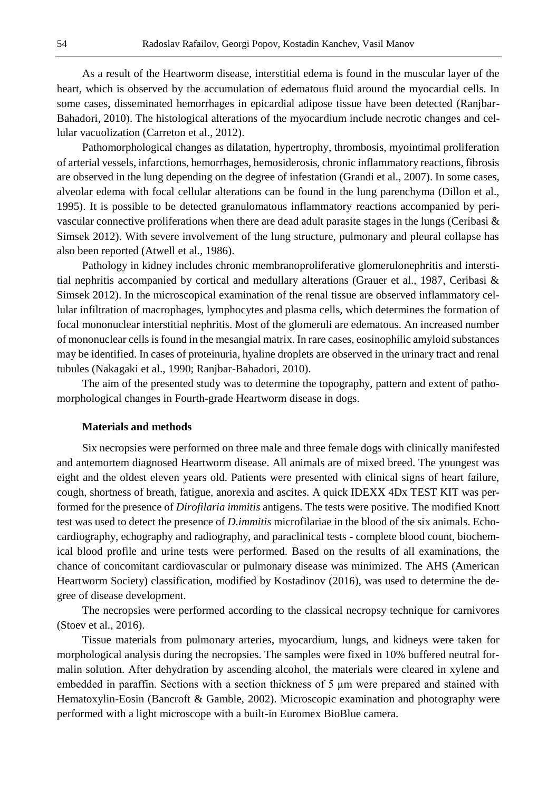As a result of the Heartworm disease, interstitial edema is found in the muscular layer of the heart, which is observed by the accumulation of edematous fluid around the myocardial cells. In some cases, disseminated hemorrhages in epicardial adipose tissue have been detected (Ranjbar-Bahadori, 2010). The histological alterations of the myocardium include necrotic changes and cellular vacuolization (Carreton et al., 2012).

Pathomorphological changes as dilatation, hypertrophy, thrombosis, myointimal proliferation of arterial vessels, infarctions, hemorrhages, hemosiderosis, chronic inflammatory reactions, fibrosis are observed in the lung depending on the degree of infestation (Grandi et al., 2007). In some cases, alveolar edema with focal cellular alterations can be found in the lung parenchyma (Dillon et al., 1995). It is possible to be detected granulomatous inflammatory reactions accompanied by perivascular connective proliferations when there are dead adult parasite stages in the lungs (Ceribasi  $\&$ Simsek 2012). With severe involvement of the lung structure, pulmonary and pleural collapse has also been reported (Atwell et al., 1986).

Pathology in kidney includes chronic membranoproliferative glomerulonephritis and interstitial nephritis accompanied by cortical and medullary alterations (Grauer et al., 1987, Ceribasi & Simsek 2012). In the microscopical examination of the renal tissue are observed inflammatory cellular infiltration of macrophages, lymphocytes and plasma cells, which determines the formation of focal mononuclear interstitial nephritis. Most of the glomeruli are edematous. An increased number of mononuclear cells is found in the mesangial matrix. In rare cases, eosinophilic amyloid substances may be identified. In cases of proteinuria, hyaline droplets are observed in the urinary tract and renal tubules (Nakagaki et al., 1990; Ranjbar-Bahadori, 2010).

The aim of the presented study was to determine the topography, pattern and extent of pathomorphological changes in Fourth-grade Heartworm disease in dogs.

#### **Materials and methods**

Six necropsies were performed on three male and three female dogs with clinically manifested and antemortem diagnosed Heartworm disease. All animals are of mixed breed. The youngest was eight and the oldest eleven years old. Patients were presented with clinical signs of heart failure, cough, shortness of breath, fatigue, anorexia and ascites. A quick IDEXX 4Dx TEST KIT was performed for the presence of *Dirofilaria immitis* antigens. The tests were positive. The modified Knott test was used to detect the presence of *D.immitis* microfilariae in the blood of the six animals. Echocardiography, echography and radiography, and paraclinical tests - complete blood count, biochemical blood profile and urine tests were performed. Based on the results of all examinations, the chance of concomitant cardiovascular or pulmonary disease was minimized. The AHS (American Heartworm Society) classification, modified by Kostadinov (2016), was used to determine the degree of disease development.

The necropsies were performed according to the classical necropsy technique for carnivores (Stoev et al., 2016).

Tissue materials from pulmonary arteries, myocardium, lungs, and kidneys were taken for morphological analysis during the necropsies. The samples were fixed in 10% buffered neutral formalin solution. After dehydration by ascending alcohol, the materials were cleared in xylene and embedded in paraffin. Sections with a section thickness of 5 μm were prepared and stained with Hematoxylin-Eosin (Bancroft & Gamble, 2002). Microscopic examination and photography were performed with a light microscope with a built-in Euromex BioBlue camera.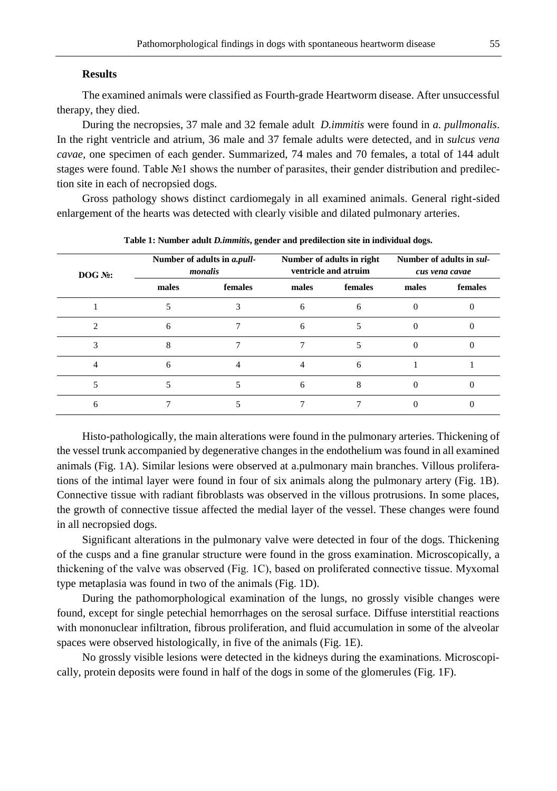#### **Results**

The examined animals were classified as Fourth-grade Heartworm disease. After unsuccessful therapy, they died.

During the necropsies, 37 male and 32 female adult *D.immitis* were found in *a. pullmonalis*. In the right ventricle and atrium, 36 male and 37 female adults were detected, and in *sulcus vena cavae*, one specimen of each gender. Summarized, 74 males and 70 females, a total of 144 adult stages were found. Table №1 shows the number of parasites, their gender distribution and predilection site in each of necropsied dogs.

Gross pathology shows distinct cardiomegaly in all examined animals. General right-sided enlargement of the hearts was detected with clearly visible and dilated pulmonary arteries.

| $DOG N2$ : | Number of adults in a.pull-<br>monalis |         | Number of adults in right<br>ventricle and atruim |         | Number of adults in sul-<br>cus vena cavae |         |
|------------|----------------------------------------|---------|---------------------------------------------------|---------|--------------------------------------------|---------|
|            | males                                  | females | males                                             | females | males                                      | females |
|            |                                        |         | 6                                                 | 6       | $\Omega$                                   |         |
|            | 6                                      |         | 6                                                 |         |                                            |         |
|            |                                        |         |                                                   |         |                                            |         |
|            | 6                                      |         |                                                   | 6       |                                            |         |
|            |                                        |         | 6                                                 | 8       |                                            |         |
| h          |                                        |         |                                                   |         |                                            |         |

**Table 1: Number adult** *D.immitis***, gender and predilection site in individual dogs.**

Histo-pathologically, the main alterations were found in the pulmonary arteries. Thickening of the vessel trunk accompanied by degenerative changes in the endothelium was found in all examined animals (Fig. 1A). Similar lesions were observed at a.pulmonary main branches. Villous proliferations of the intimal layer were found in four of six animals along the pulmonary artery (Fig. 1B). Connective tissue with radiant fibroblasts was observed in the villous protrusions. In some places, the growth of connective tissue affected the medial layer of the vessel. These changes were found in all necropsied dogs.

Significant alterations in the pulmonary valve were detected in four of the dogs. Thickening of the cusps and a fine granular structure were found in the gross examination. Microscopically, a thickening of the valve was observed (Fig. 1C), based on proliferated connective tissue. Mуxomal type metaplasia was found in two of the animals (Fig. 1D).

During the pathomorphological examination of the lungs, no grossly visible changes were found, except for single petechial hemorrhages on the serosal surface. Diffuse interstitial reactions with mononuclear infiltration, fibrous proliferation, and fluid accumulation in some of the alveolar spaces were observed histologically, in five of the animals (Fig. 1E).

No grossly visible lesions were detected in the kidneys during the examinations. Microscopically, protein deposits were found in half of the dogs in some of the glomerules (Fig. 1F).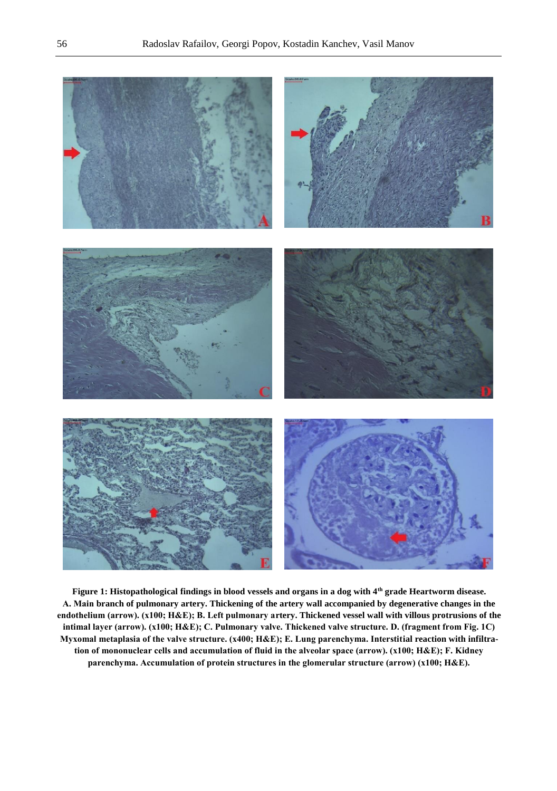

**Figure 1: Histopathological findings in blood vessels and organs in a dog with 4th grade Heartworm disease. А. Main branch of pulmonary artery. Thickening of the artery wall accompanied by degenerative changes in the endothelium (arrow). (х100; H&E); В. Left pulmonary artery. Thickened vessel wall with villous protrusions of the intimal layer (arrow). (х100; H&E); С. Pulmonary valve. Thickened valve structure. D. (fragment from Fig. 1C) Myxomal metaplasia of the valve structure. (х400; H&E); Е. Lung parenchyma. Interstitial reaction with infiltration of mononuclear cells and accumulation of fluid in the alveolar space (arrow). (х100; H&E); F. Kidney parenchyma. Accumulation of protein structures in the glomerular structure (arrow) (х100; H&E).**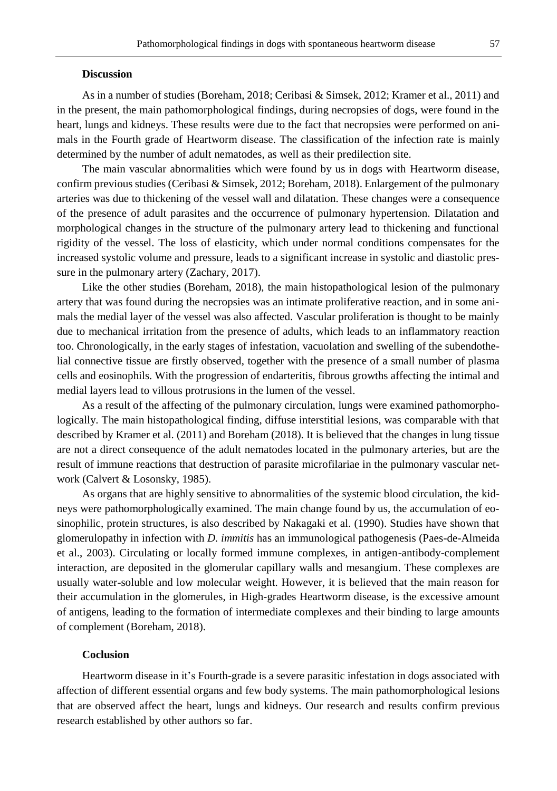#### **Discussion**

As in a number of studies (Boreham, 2018; Ceribasi & Simsek, 2012; Kramer et al., 2011) and in the present, the main pathomorphological findings, during necropsies of dogs, were found in the heart, lungs and kidneys. These results were due to the fact that necropsies were performed on animals in the Fourth grade of Heartworm disease. The classification of the infection rate is mainly determined by the number of adult nematodes, as well as their predilection site.

The main vascular abnormalities which were found by us in dogs with Heartworm disease, confirm previous studies (Ceribasi & Simsek, 2012; Boreham, 2018). Enlargement of the pulmonary arteries was due to thickening of the vessel wall and dilatation. These changes were a consequence of the presence of adult parasites and the occurrence of pulmonary hypertension. Dilatation and morphological changes in the structure of the pulmonary artery lead to thickening and functional rigidity of the vessel. The loss of elasticity, which under normal conditions compensates for the increased systolic volume and pressure, leads to a significant increase in systolic and diastolic pressure in the pulmonary artery (Zachary, 2017).

Like the other studies (Boreham, 2018), the main histopathological lesion of the pulmonary artery that was found during the necropsies was an intimate proliferative reaction, and in some animals the medial layer of the vessel was also affected. Vascular proliferation is thought to be mainly due to mechanical irritation from the presence of adults, which leads to an inflammatory reaction too. Chronologically, in the early stages of infestation, vacuolation and swelling of the subendothelial connective tissue are firstly observed, together with the presence of a small number of plasma cells and eosinophils. With the progression of endarteritis, fibrous growths affecting the intimal and medial layers lead to villous protrusions in the lumen of the vessel.

As a result of the affecting of the pulmonary circulation, lungs were examined pathomorphologically. The main histopathological finding, diffuse interstitial lesions, was comparable with that described by Kramer et al. (2011) and Boreham (2018). It is believed that the changes in lung tissue are not a direct consequence of the adult nematodes located in the pulmonary arteries, but are the result of immune reactions that destruction of parasite microfilariae in the pulmonary vascular network (Calvert & Losonsky, 1985).

As organs that are highly sensitive to abnormalities of the systemic blood circulation, the kidneys were pathomorphologically examined. The main change found by us, the accumulation of eosinophilic, protein structures, is also described by Nakagaki et al. (1990). Studies have shown that glomerulopathy in infection with *D. immitis* has an immunological pathogenesis (Paes-de-Almeida et al., 2003). Circulating or locally formed immune complexes, in antigen-antibody-complement interaction, are deposited in the glomerular capillary walls and mesangium. These complexes are usually water-soluble and low molecular weight. However, it is believed that the main reason for their accumulation in the glomerules, in High-grades Heartworm disease, is the excessive amount of antigens, leading to the formation of intermediate complexes and their binding to large amounts of complement (Boreham, 2018).

#### **Coclusion**

Heartworm disease in it's Fourth-grade is a severe parasitic infestation in dogs associated with affection of different essential organs and few body systems. The main pathomorphological lesions that are observed affect the heart, lungs and kidneys. Our research and results confirm previous research established by other authors so far.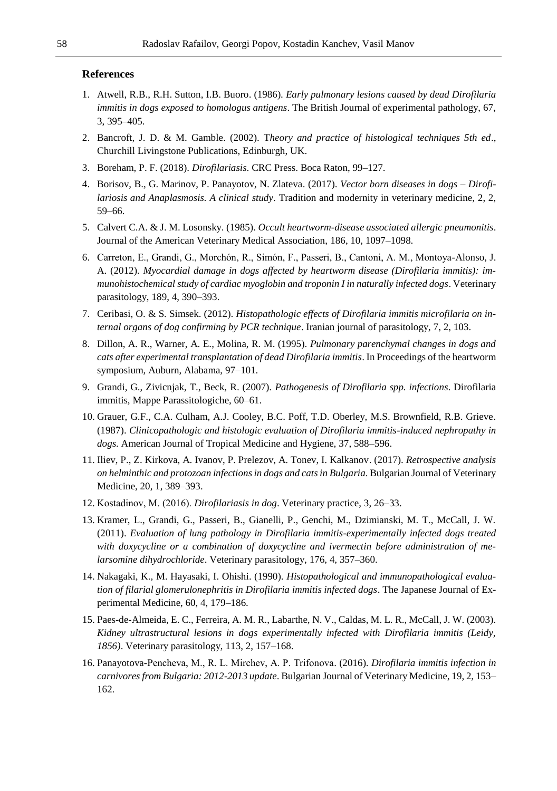#### **References**

- 1. Atwell, R.B., R.H. Sutton, I.B. Buoro. (1986). *Early pulmonary lesions caused by dead Dirofilaria immitis in dogs exposed to homologus antigens*. The British Journal of experimental pathology, 67, 3, 395–405.
- 2. Bancroft, J. D. & M. Gamble. (2002). T*heory and practice of histological techniques 5th ed*., Churchill Livingstone Publications, Edinburgh, UK.
- 3. Boreham, P. F. (2018). *Dirofilariasis*. CRC Press. Boca Raton, 99–127.
- 4. Borisov, B., G. Marinov, P. Panayotov, N. Zlateva. (2017). *Vector born diseases in dogs – Dirofilariosis and Anaplasmosis. A clinical study*. Tradition and modernity in veterinary medicine, 2, 2, 59–66.
- 5. Calvert C.A. & J. M. Losonsky. (1985). *Occult heartworm-disease associated allergic pneumonitis*. Journal of the American Veterinary Medical Association, 186, 10, 1097–1098.
- 6. Carreton, E., Grandi, G., Morchón, R., Simón, F., Passeri, B., Cantoni, A. M., Montoya-Alonso, J. A. (2012). *Myocardial damage in dogs affected by heartworm disease (Dirofilaria immitis): immunohistochemical study of cardiac myoglobin and troponin I in naturally infected dogs*. Veterinary parasitology, 189, 4, 390–393.
- 7. Ceribasi, O. & S. Simsek. (2012). *Histopathologic effects of Dirofilaria immitis microfilaria on internal organs of dog confirming by PCR technique*. Iranian journal of parasitology, 7, 2, 103.
- 8. Dillon, A. R., Warner, A. E., Molina, R. M. (1995). *Pulmonary parenchymal changes in dogs and cats after experimental transplantation of dead Dirofilaria immitis*. In Proceedings of the heartworm symposium, Auburn, Alabama, 97–101.
- 9. Grandi, G., Zivicnjak, T., Beck, R. (2007). *Pathogenesis of Dirofilaria spp. infections*. Dirofilaria immitis, Mappe Parassitologiche, 60–61.
- 10. Grauer, G.F., C.A. Culham, A.J. Cooley, B.C. Poff, T.D. Oberley, M.S. Brownfield, R.B. Grieve. (1987). *Clinicopathologic and histologic evaluation of Dirofilaria immitis-induced nephropathy in dogs*. American Journal of Tropical Medicine and Hygiene, 37, 588–596.
- 11. Iliev, P., Z. Kirkova, A. Ivanov, P. Prelezov, A. Tonev, I. Kalkanov. (2017). *Retrospective analysis on helminthic and protozoan infections in dogs and cats in Bulgaria*. Bulgarian Journal of Veterinary Medicine, 20, 1, 389–393.
- 12. Kostadinov, М. (2016). *Dirofilariasis in dog*. Veterinary practice, 3, 26–33.
- 13. Kramer, L., Grandi, G., Passeri, B., Gianelli, P., Genchi, M., Dzimianski, M. T., McCall, J. W. (2011). *Evaluation of lung pathology in Dirofilaria immitis-experimentally infected dogs treated with doxycycline or a combination of doxycycline and ivermectin before administration of melarsomine dihydrochloride*. Veterinary parasitology, 176, 4, 357–360.
- 14. Nakagaki, K., M. Hayasaki, I. Ohishi. (1990). *Histopathological and immunopathological evaluation of filarial glomerulonephritis in Dirofilaria immitis infected dogs*. The Japanese Journal of Experimental Medicine, 60, 4, 179–186.
- 15. Paes-de-Almeida, E. C., Ferreira, A. M. R., Labarthe, N. V., Caldas, M. L. R., McCall, J. W. (2003). *Kidney ultrastructural lesions in dogs experimentally infected with Dirofilaria immitis (Leidy, 1856)*. Veterinary parasitology, 113, 2, 157–168.
- 16. Panayotova-Penchevа, M., R. L. Mirchev, A. P. Trifonova. (2016). *Dirofilaria immitis infection in carnivores from Bulgaria: 2012-2013 update*. Bulgarian Journal of Veterinary Medicine, 19, 2, 153– 162.